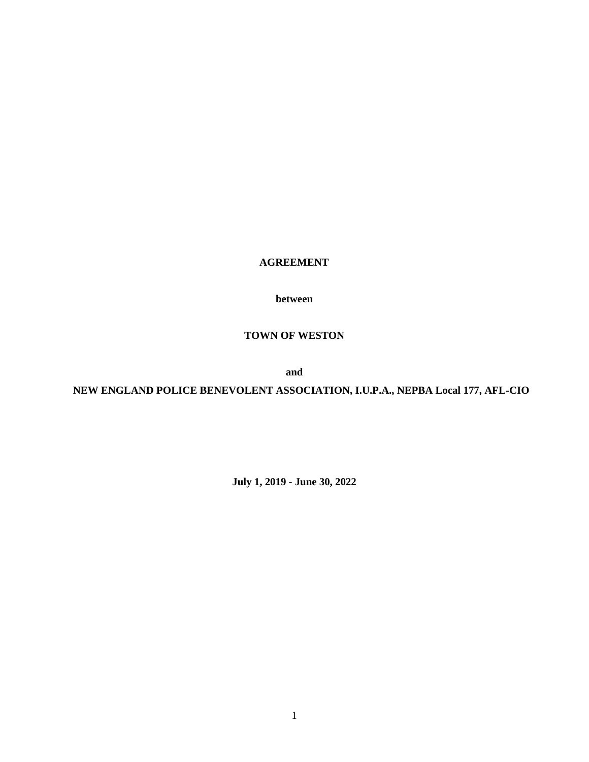**AGREEMENT**

**between**

# **TOWN OF WESTON**

**and**

**NEW ENGLAND POLICE BENEVOLENT ASSOCIATION, I.U.P.A., NEPBA Local 177, AFL-CIO**

**July 1, 2019 - June 30, 2022**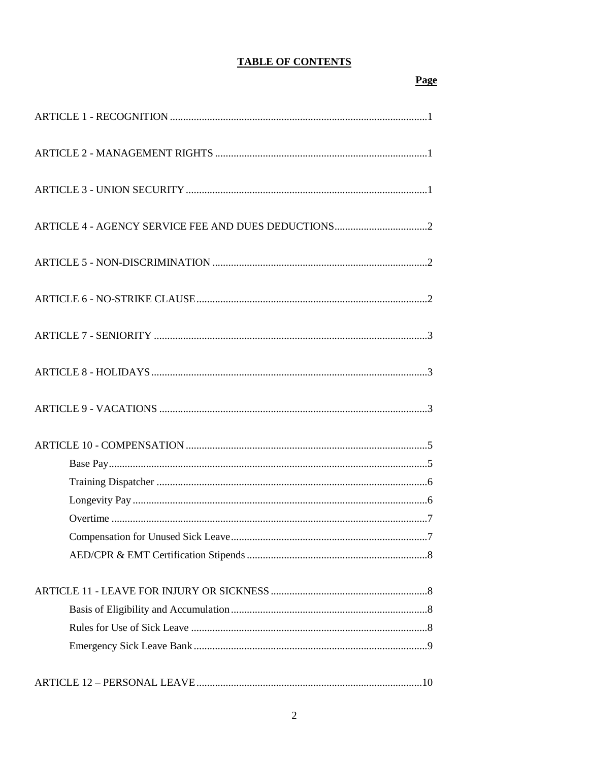# **TABLE OF CONTENTS**

Page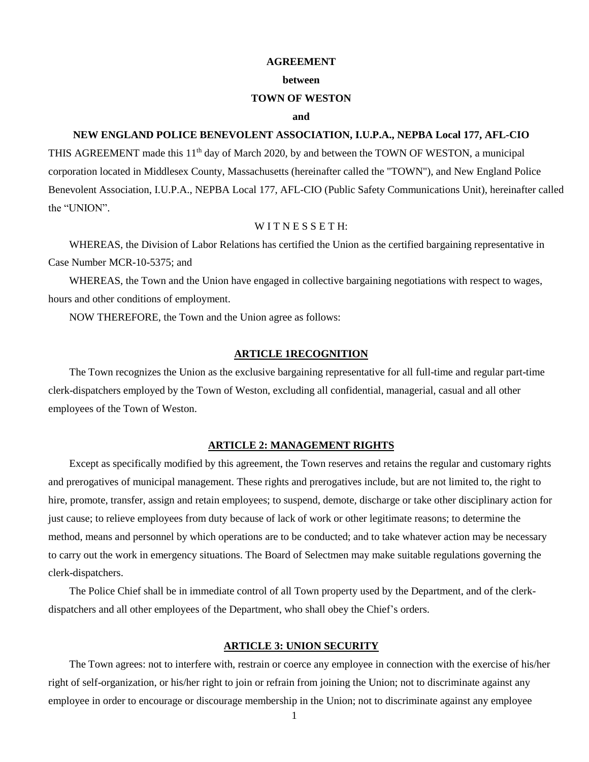#### **AGREEMENT**

#### **between**

#### **TOWN OF WESTON**

#### **and**

### **NEW ENGLAND POLICE BENEVOLENT ASSOCIATION, I.U.P.A., NEPBA Local 177, AFL-CIO**

THIS AGREEMENT made this 11<sup>th</sup> day of March 2020, by and between the TOWN OF WESTON, a municipal corporation located in Middlesex County, Massachusetts (hereinafter called the "TOWN"), and New England Police Benevolent Association, I.U.P.A., NEPBA Local 177, AFL-CIO (Public Safety Communications Unit), hereinafter called the "UNION".

#### WITNESSETH:

WHEREAS, the Division of Labor Relations has certified the Union as the certified bargaining representative in Case Number MCR-10-5375; and

WHEREAS, the Town and the Union have engaged in collective bargaining negotiations with respect to wages, hours and other conditions of employment.

NOW THEREFORE, the Town and the Union agree as follows:

# **ARTICLE 1RECOGNITION**

The Town recognizes the Union as the exclusive bargaining representative for all full-time and regular part-time clerk-dispatchers employed by the Town of Weston, excluding all confidential, managerial, casual and all other employees of the Town of Weston.

### **ARTICLE 2: MANAGEMENT RIGHTS**

Except as specifically modified by this agreement, the Town reserves and retains the regular and customary rights and prerogatives of municipal management. These rights and prerogatives include, but are not limited to, the right to hire, promote, transfer, assign and retain employees; to suspend, demote, discharge or take other disciplinary action for just cause; to relieve employees from duty because of lack of work or other legitimate reasons; to determine the method, means and personnel by which operations are to be conducted; and to take whatever action may be necessary to carry out the work in emergency situations. The Board of Selectmen may make suitable regulations governing the clerk-dispatchers.

The Police Chief shall be in immediate control of all Town property used by the Department, and of the clerkdispatchers and all other employees of the Department, who shall obey the Chief's orders.

#### **ARTICLE 3: UNION SECURITY**

The Town agrees: not to interfere with, restrain or coerce any employee in connection with the exercise of his/her right of self-organization, or his/her right to join or refrain from joining the Union; not to discriminate against any employee in order to encourage or discourage membership in the Union; not to discriminate against any employee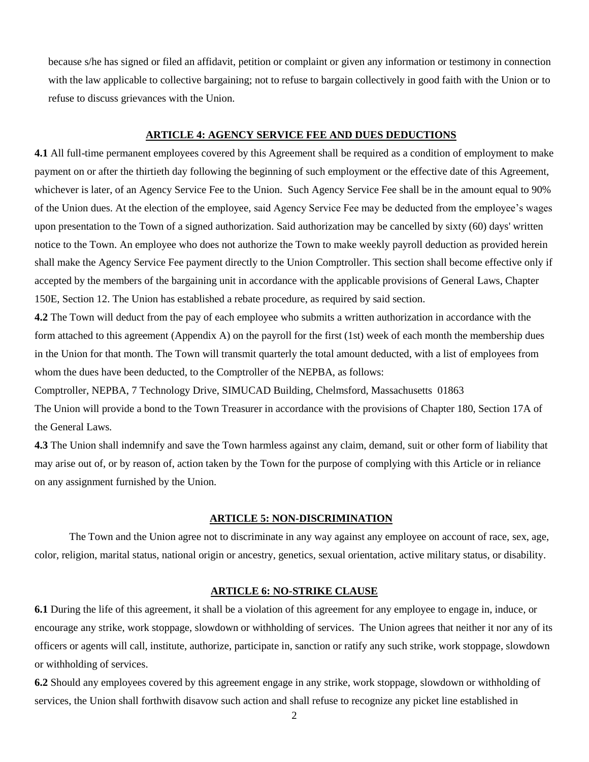because s/he has signed or filed an affidavit, petition or complaint or given any information or testimony in connection with the law applicable to collective bargaining; not to refuse to bargain collectively in good faith with the Union or to refuse to discuss grievances with the Union.

#### **ARTICLE 4: AGENCY SERVICE FEE AND DUES DEDUCTIONS**

**4.1** All full-time permanent employees covered by this Agreement shall be required as a condition of employment to make payment on or after the thirtieth day following the beginning of such employment or the effective date of this Agreement, whichever is later, of an Agency Service Fee to the Union. Such Agency Service Fee shall be in the amount equal to 90% of the Union dues. At the election of the employee, said Agency Service Fee may be deducted from the employee's wages upon presentation to the Town of a signed authorization. Said authorization may be cancelled by sixty (60) days' written notice to the Town. An employee who does not authorize the Town to make weekly payroll deduction as provided herein shall make the Agency Service Fee payment directly to the Union Comptroller. This section shall become effective only if accepted by the members of the bargaining unit in accordance with the applicable provisions of General Laws, Chapter 150E, Section 12. The Union has established a rebate procedure, as required by said section.

**4.2** The Town will deduct from the pay of each employee who submits a written authorization in accordance with the form attached to this agreement (Appendix A) on the payroll for the first (1st) week of each month the membership dues in the Union for that month. The Town will transmit quarterly the total amount deducted, with a list of employees from whom the dues have been deducted, to the Comptroller of the NEPBA, as follows:

Comptroller, NEPBA, 7 Technology Drive, SIMUCAD Building, Chelmsford, Massachusetts 01863 The Union will provide a bond to the Town Treasurer in accordance with the provisions of Chapter 180, Section 17A of the General Laws.

**4.3** The Union shall indemnify and save the Town harmless against any claim, demand, suit or other form of liability that may arise out of, or by reason of, action taken by the Town for the purpose of complying with this Article or in reliance on any assignment furnished by the Union.

#### **ARTICLE 5: NON-DISCRIMINATION**

The Town and the Union agree not to discriminate in any way against any employee on account of race, sex, age, color, religion, marital status, national origin or ancestry, genetics, sexual orientation, active military status, or disability.

### **ARTICLE 6: NO-STRIKE CLAUSE**

**6.1** During the life of this agreement, it shall be a violation of this agreement for any employee to engage in, induce, or encourage any strike, work stoppage, slowdown or withholding of services. The Union agrees that neither it nor any of its officers or agents will call, institute, authorize, participate in, sanction or ratify any such strike, work stoppage, slowdown or withholding of services.

**6.2** Should any employees covered by this agreement engage in any strike, work stoppage, slowdown or withholding of services, the Union shall forthwith disavow such action and shall refuse to recognize any picket line established in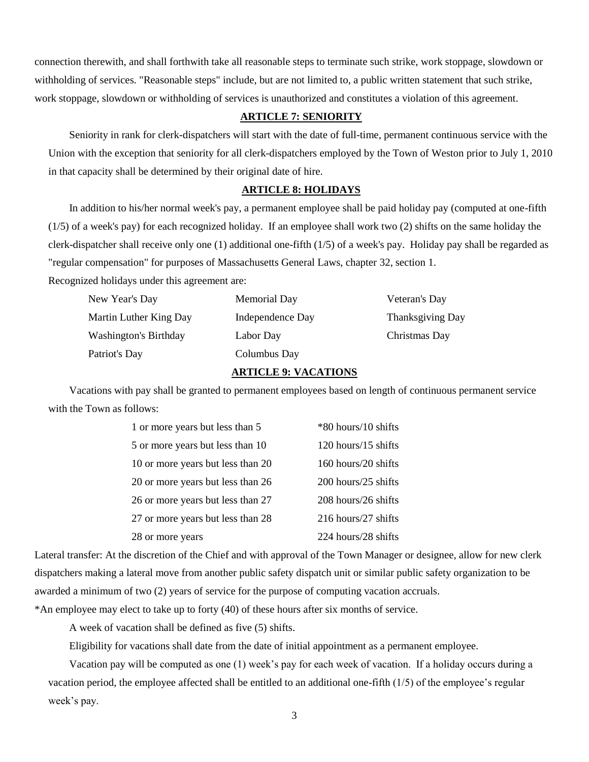connection therewith, and shall forthwith take all reasonable steps to terminate such strike, work stoppage, slowdown or withholding of services. "Reasonable steps" include, but are not limited to, a public written statement that such strike, work stoppage, slowdown or withholding of services is unauthorized and constitutes a violation of this agreement.

# **ARTICLE 7: SENIORITY**

Seniority in rank for clerk-dispatchers will start with the date of full-time, permanent continuous service with the Union with the exception that seniority for all clerk-dispatchers employed by the Town of Weston prior to July 1, 2010 in that capacity shall be determined by their original date of hire.

# **ARTICLE 8: HOLIDAYS**

In addition to his/her normal week's pay, a permanent employee shall be paid holiday pay (computed at one-fifth (1/5) of a week's pay) for each recognized holiday. If an employee shall work two (2) shifts on the same holiday the clerk-dispatcher shall receive only one (1) additional one-fifth (1/5) of a week's pay. Holiday pay shall be regarded as "regular compensation" for purposes of Massachusetts General Laws, chapter 32, section 1.

Recognized holidays under this agreement are:

| New Year's Day               | Memorial Day     | Veteran's Day           |
|------------------------------|------------------|-------------------------|
| Martin Luther King Day       | Independence Day | <b>Thanksgiving Day</b> |
| <b>Washington's Birthday</b> | Labor Day        | Christmas Day           |
| Patriot's Day                | Columbus Day     |                         |

### **ARTICLE 9: VACATIONS**

Vacations with pay shall be granted to permanent employees based on length of continuous permanent service with the Town as follows:

| 1 or more years but less than 5   | *80 hours/10 shifts |
|-----------------------------------|---------------------|
| 5 or more years but less than 10  | 120 hours/15 shifts |
| 10 or more years but less than 20 | 160 hours/20 shifts |
| 20 or more years but less than 26 | 200 hours/25 shifts |
| 26 or more years but less than 27 | 208 hours/26 shifts |
| 27 or more years but less than 28 | 216 hours/27 shifts |
| 28 or more years                  | 224 hours/28 shifts |

Lateral transfer: At the discretion of the Chief and with approval of the Town Manager or designee, allow for new clerk dispatchers making a lateral move from another public safety dispatch unit or similar public safety organization to be awarded a minimum of two (2) years of service for the purpose of computing vacation accruals.

\*An employee may elect to take up to forty (40) of these hours after six months of service.

A week of vacation shall be defined as five (5) shifts.

Eligibility for vacations shall date from the date of initial appointment as a permanent employee.

Vacation pay will be computed as one (1) week's pay for each week of vacation. If a holiday occurs during a vacation period, the employee affected shall be entitled to an additional one-fifth (1/5) of the employee's regular week's pay.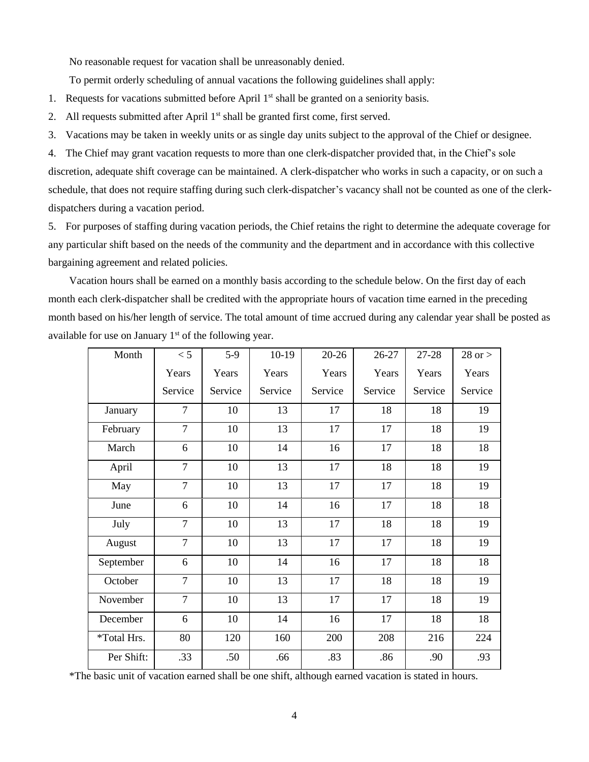No reasonable request for vacation shall be unreasonably denied.

To permit orderly scheduling of annual vacations the following guidelines shall apply:

- 1. Requests for vacations submitted before April  $1<sup>st</sup>$  shall be granted on a seniority basis.
- 2. All requests submitted after April 1<sup>st</sup> shall be granted first come, first served.
- 3. Vacations may be taken in weekly units or as single day units subject to the approval of the Chief or designee.

4. The Chief may grant vacation requests to more than one clerk-dispatcher provided that, in the Chief's sole discretion, adequate shift coverage can be maintained. A clerk-dispatcher who works in such a capacity, or on such a schedule, that does not require staffing during such clerk-dispatcher's vacancy shall not be counted as one of the clerkdispatchers during a vacation period.

5. For purposes of staffing during vacation periods, the Chief retains the right to determine the adequate coverage for any particular shift based on the needs of the community and the department and in accordance with this collective bargaining agreement and related policies.

Vacation hours shall be earned on a monthly basis according to the schedule below. On the first day of each month each clerk-dispatcher shall be credited with the appropriate hours of vacation time earned in the preceding month based on his/her length of service. The total amount of time accrued during any calendar year shall be posted as available for use on January  $1<sup>st</sup>$  of the following year.

| Month       | < 5            | $5-9$   | $10-19$ | $20 - 26$ | 26-27   | 27-28   | $28$ or $>$ |
|-------------|----------------|---------|---------|-----------|---------|---------|-------------|
|             | Years          | Years   | Years   | Years     | Years   | Years   | Years       |
|             | Service        | Service | Service | Service   | Service | Service | Service     |
| January     | $\overline{7}$ | 10      | 13      | 17        | 18      | 18      | 19          |
| February    | $\overline{7}$ | 10      | 13      | 17        | 17      | 18      | 19          |
| March       | 6              | 10      | 14      | 16        | 17      | 18      | 18          |
| April       | $\overline{7}$ | 10      | 13      | 17        | 18      | 18      | 19          |
| May         | $\overline{7}$ | 10      | 13      | 17        | 17      | 18      | 19          |
| June        | 6              | 10      | 14      | 16        | 17      | 18      | 18          |
| July        | $\overline{7}$ | 10      | 13      | 17        | 18      | 18      | 19          |
| August      | $\overline{7}$ | 10      | 13      | 17        | 17      | 18      | 19          |
| September   | 6              | 10      | 14      | 16        | 17      | 18      | 18          |
| October     | $\overline{7}$ | 10      | 13      | 17        | 18      | 18      | 19          |
| November    | $\overline{7}$ | 10      | 13      | 17        | 17      | 18      | 19          |
| December    | 6              | 10      | 14      | 16        | 17      | 18      | 18          |
| *Total Hrs. | 80             | 120     | 160     | 200       | 208     | 216     | 224         |
| Per Shift:  | .33            | .50     | .66     | .83       | .86     | .90     | .93         |

\*The basic unit of vacation earned shall be one shift, although earned vacation is stated in hours.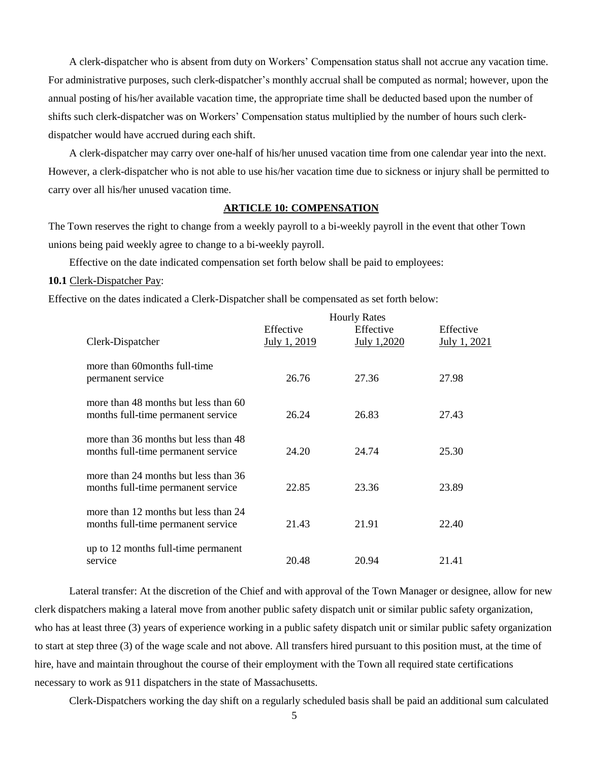A clerk-dispatcher who is absent from duty on Workers' Compensation status shall not accrue any vacation time. For administrative purposes, such clerk-dispatcher's monthly accrual shall be computed as normal; however, upon the annual posting of his/her available vacation time, the appropriate time shall be deducted based upon the number of shifts such clerk-dispatcher was on Workers' Compensation status multiplied by the number of hours such clerkdispatcher would have accrued during each shift.

A clerk-dispatcher may carry over one-half of his/her unused vacation time from one calendar year into the next. However, a clerk-dispatcher who is not able to use his/her vacation time due to sickness or injury shall be permitted to carry over all his/her unused vacation time.

### **ARTICLE 10: COMPENSATION**

The Town reserves the right to change from a weekly payroll to a bi-weekly payroll in the event that other Town unions being paid weekly agree to change to a bi-weekly payroll.

Effective on the date indicated compensation set forth below shall be paid to employees:

#### **10.1** Clerk-Dispatcher Pay:

Effective on the dates indicated a Clerk-Dispatcher shall be compensated as set forth below:

|                                                                            | <b>Hourly Rates</b>       |                          |                                  |
|----------------------------------------------------------------------------|---------------------------|--------------------------|----------------------------------|
| Clerk-Dispatcher                                                           | Effective<br>July 1, 2019 | Effective<br>July 1,2020 | Effective<br><u>July 1, 2021</u> |
| more than 60 months full-time<br>permanent service                         | 26.76                     | 27.36                    | 27.98                            |
| more than 48 months but less than 60<br>months full-time permanent service | 26.24                     | 26.83                    | 27.43                            |
| more than 36 months but less than 48<br>months full-time permanent service | 24.20                     | 24.74                    | 25.30                            |
| more than 24 months but less than 36<br>months full-time permanent service | 22.85                     | 23.36                    | 23.89                            |
| more than 12 months but less than 24<br>months full-time permanent service | 21.43                     | 21.91                    | 22.40                            |
| up to 12 months full-time permanent<br>service                             | 20.48                     | 20.94                    | 21.41                            |

Lateral transfer: At the discretion of the Chief and with approval of the Town Manager or designee, allow for new clerk dispatchers making a lateral move from another public safety dispatch unit or similar public safety organization, who has at least three (3) years of experience working in a public safety dispatch unit or similar public safety organization to start at step three (3) of the wage scale and not above. All transfers hired pursuant to this position must, at the time of hire, have and maintain throughout the course of their employment with the Town all required state certifications necessary to work as 911 dispatchers in the state of Massachusetts.

Clerk-Dispatchers working the day shift on a regularly scheduled basis shall be paid an additional sum calculated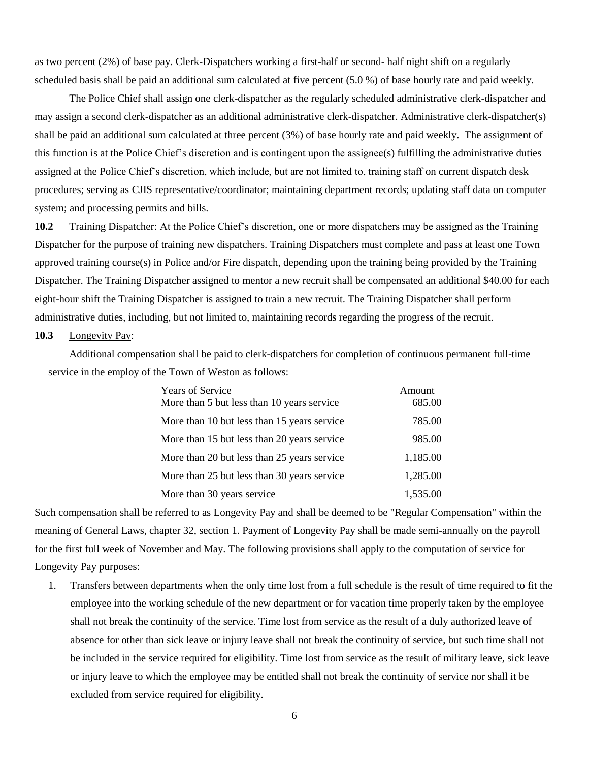as two percent (2%) of base pay. Clerk-Dispatchers working a first-half or second- half night shift on a regularly scheduled basis shall be paid an additional sum calculated at five percent (5.0 %) of base hourly rate and paid weekly.

The Police Chief shall assign one clerk-dispatcher as the regularly scheduled administrative clerk-dispatcher and may assign a second clerk-dispatcher as an additional administrative clerk-dispatcher. Administrative clerk-dispatcher(s) shall be paid an additional sum calculated at three percent (3%) of base hourly rate and paid weekly. The assignment of this function is at the Police Chief's discretion and is contingent upon the assignee(s) fulfilling the administrative duties assigned at the Police Chief's discretion, which include, but are not limited to, training staff on current dispatch desk procedures; serving as CJIS representative/coordinator; maintaining department records; updating staff data on computer system; and processing permits and bills.

**10.2** Training Dispatcher: At the Police Chief's discretion, one or more dispatchers may be assigned as the Training Dispatcher for the purpose of training new dispatchers. Training Dispatchers must complete and pass at least one Town approved training course(s) in Police and/or Fire dispatch, depending upon the training being provided by the Training Dispatcher. The Training Dispatcher assigned to mentor a new recruit shall be compensated an additional \$40.00 for each eight-hour shift the Training Dispatcher is assigned to train a new recruit. The Training Dispatcher shall perform administrative duties, including, but not limited to, maintaining records regarding the progress of the recruit.

### **10.3** Longevity Pay:

Additional compensation shall be paid to clerk-dispatchers for completion of continuous permanent full-time service in the employ of the Town of Weston as follows:

| <b>Years of Service</b><br>More than 5 but less than 10 years service | Amount<br>685.00 |
|-----------------------------------------------------------------------|------------------|
| More than 10 but less than 15 years service                           | 785.00           |
| More than 15 but less than 20 years service                           | 985.00           |
| More than 20 but less than 25 years service                           | 1,185.00         |
| More than 25 but less than 30 years service                           | 1,285.00         |
| More than 30 years service                                            | 1,535.00         |

Such compensation shall be referred to as Longevity Pay and shall be deemed to be "Regular Compensation" within the meaning of General Laws, chapter 32, section 1. Payment of Longevity Pay shall be made semi-annually on the payroll for the first full week of November and May. The following provisions shall apply to the computation of service for Longevity Pay purposes:

1. Transfers between departments when the only time lost from a full schedule is the result of time required to fit the employee into the working schedule of the new department or for vacation time properly taken by the employee shall not break the continuity of the service. Time lost from service as the result of a duly authorized leave of absence for other than sick leave or injury leave shall not break the continuity of service, but such time shall not be included in the service required for eligibility. Time lost from service as the result of military leave, sick leave or injury leave to which the employee may be entitled shall not break the continuity of service nor shall it be excluded from service required for eligibility.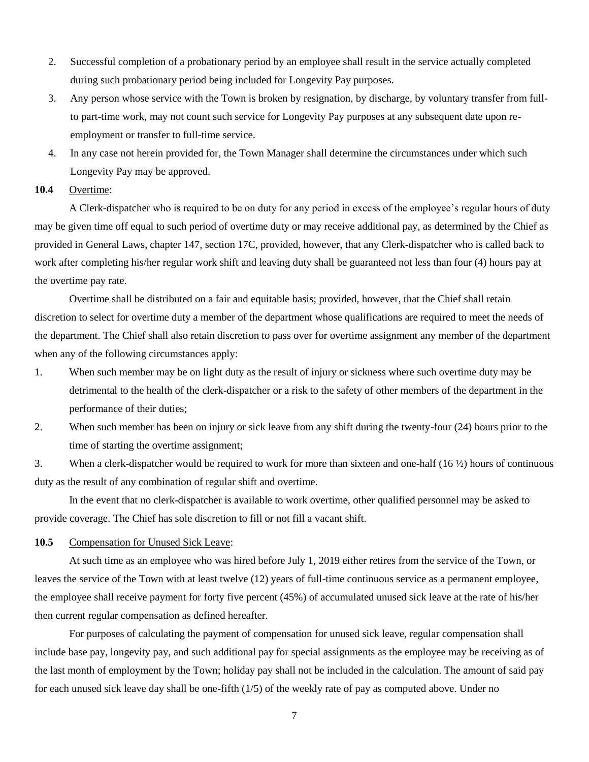- 2. Successful completion of a probationary period by an employee shall result in the service actually completed during such probationary period being included for Longevity Pay purposes.
- 3. Any person whose service with the Town is broken by resignation, by discharge, by voluntary transfer from fullto part-time work, may not count such service for Longevity Pay purposes at any subsequent date upon reemployment or transfer to full-time service.
- 4. In any case not herein provided for, the Town Manager shall determine the circumstances under which such Longevity Pay may be approved.

# **10.4** Overtime:

A Clerk-dispatcher who is required to be on duty for any period in excess of the employee's regular hours of duty may be given time off equal to such period of overtime duty or may receive additional pay, as determined by the Chief as provided in General Laws, chapter 147, section 17C, provided, however, that any Clerk-dispatcher who is called back to work after completing his/her regular work shift and leaving duty shall be guaranteed not less than four (4) hours pay at the overtime pay rate.

Overtime shall be distributed on a fair and equitable basis; provided, however, that the Chief shall retain discretion to select for overtime duty a member of the department whose qualifications are required to meet the needs of the department. The Chief shall also retain discretion to pass over for overtime assignment any member of the department when any of the following circumstances apply:

- 1. When such member may be on light duty as the result of injury or sickness where such overtime duty may be detrimental to the health of the clerk-dispatcher or a risk to the safety of other members of the department in the performance of their duties;
- 2. When such member has been on injury or sick leave from any shift during the twenty-four (24) hours prior to the time of starting the overtime assignment;

3. When a clerk-dispatcher would be required to work for more than sixteen and one-half (16 ½) hours of continuous duty as the result of any combination of regular shift and overtime.

In the event that no clerk-dispatcher is available to work overtime, other qualified personnel may be asked to provide coverage. The Chief has sole discretion to fill or not fill a vacant shift.

#### **10.5** Compensation for Unused Sick Leave:

At such time as an employee who was hired before July 1, 2019 either retires from the service of the Town, or leaves the service of the Town with at least twelve (12) years of full-time continuous service as a permanent employee, the employee shall receive payment for forty five percent (45%) of accumulated unused sick leave at the rate of his/her then current regular compensation as defined hereafter.

For purposes of calculating the payment of compensation for unused sick leave, regular compensation shall include base pay, longevity pay, and such additional pay for special assignments as the employee may be receiving as of the last month of employment by the Town; holiday pay shall not be included in the calculation. The amount of said pay for each unused sick leave day shall be one-fifth (1/5) of the weekly rate of pay as computed above. Under no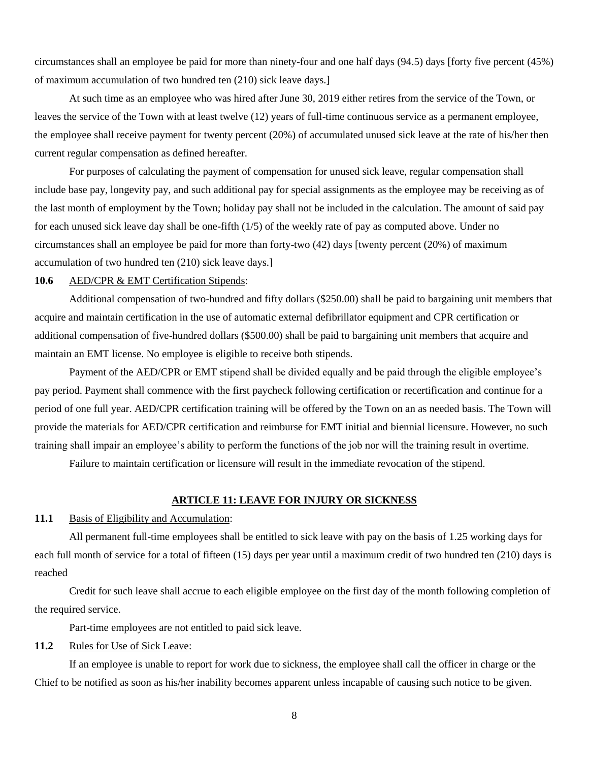circumstances shall an employee be paid for more than ninety-four and one half days (94.5) days [forty five percent (45%) of maximum accumulation of two hundred ten (210) sick leave days.]

At such time as an employee who was hired after June 30, 2019 either retires from the service of the Town, or leaves the service of the Town with at least twelve (12) years of full-time continuous service as a permanent employee, the employee shall receive payment for twenty percent (20%) of accumulated unused sick leave at the rate of his/her then current regular compensation as defined hereafter.

For purposes of calculating the payment of compensation for unused sick leave, regular compensation shall include base pay, longevity pay, and such additional pay for special assignments as the employee may be receiving as of the last month of employment by the Town; holiday pay shall not be included in the calculation. The amount of said pay for each unused sick leave day shall be one-fifth (1/5) of the weekly rate of pay as computed above. Under no circumstances shall an employee be paid for more than forty-two (42) days [twenty percent (20%) of maximum accumulation of two hundred ten (210) sick leave days.]

# **10.6** AED/CPR & EMT Certification Stipends:

Additional compensation of two-hundred and fifty dollars (\$250.00) shall be paid to bargaining unit members that acquire and maintain certification in the use of automatic external defibrillator equipment and CPR certification or additional compensation of five-hundred dollars (\$500.00) shall be paid to bargaining unit members that acquire and maintain an EMT license. No employee is eligible to receive both stipends.

Payment of the AED/CPR or EMT stipend shall be divided equally and be paid through the eligible employee's pay period. Payment shall commence with the first paycheck following certification or recertification and continue for a period of one full year. AED/CPR certification training will be offered by the Town on an as needed basis. The Town will provide the materials for AED/CPR certification and reimburse for EMT initial and biennial licensure. However, no such training shall impair an employee's ability to perform the functions of the job nor will the training result in overtime.

Failure to maintain certification or licensure will result in the immediate revocation of the stipend.

# **ARTICLE 11: LEAVE FOR INJURY OR SICKNESS**

### **11.1** Basis of Eligibility and Accumulation:

All permanent full-time employees shall be entitled to sick leave with pay on the basis of 1.25 working days for each full month of service for a total of fifteen (15) days per year until a maximum credit of two hundred ten (210) days is reached

Credit for such leave shall accrue to each eligible employee on the first day of the month following completion of the required service.

Part-time employees are not entitled to paid sick leave.

### 11.2 Rules for Use of Sick Leave:

If an employee is unable to report for work due to sickness, the employee shall call the officer in charge or the Chief to be notified as soon as his/her inability becomes apparent unless incapable of causing such notice to be given.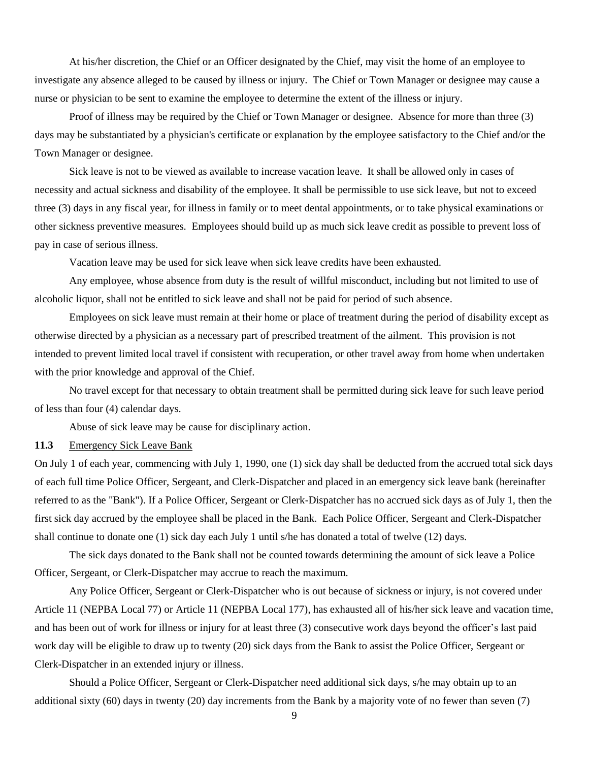At his/her discretion, the Chief or an Officer designated by the Chief, may visit the home of an employee to investigate any absence alleged to be caused by illness or injury. The Chief or Town Manager or designee may cause a nurse or physician to be sent to examine the employee to determine the extent of the illness or injury.

Proof of illness may be required by the Chief or Town Manager or designee. Absence for more than three (3) days may be substantiated by a physician's certificate or explanation by the employee satisfactory to the Chief and/or the Town Manager or designee.

Sick leave is not to be viewed as available to increase vacation leave. It shall be allowed only in cases of necessity and actual sickness and disability of the employee. It shall be permissible to use sick leave, but not to exceed three (3) days in any fiscal year, for illness in family or to meet dental appointments, or to take physical examinations or other sickness preventive measures. Employees should build up as much sick leave credit as possible to prevent loss of pay in case of serious illness.

Vacation leave may be used for sick leave when sick leave credits have been exhausted.

Any employee, whose absence from duty is the result of willful misconduct, including but not limited to use of alcoholic liquor, shall not be entitled to sick leave and shall not be paid for period of such absence.

Employees on sick leave must remain at their home or place of treatment during the period of disability except as otherwise directed by a physician as a necessary part of prescribed treatment of the ailment. This provision is not intended to prevent limited local travel if consistent with recuperation, or other travel away from home when undertaken with the prior knowledge and approval of the Chief.

No travel except for that necessary to obtain treatment shall be permitted during sick leave for such leave period of less than four (4) calendar days.

Abuse of sick leave may be cause for disciplinary action.

# **11.3** Emergency Sick Leave Bank

On July 1 of each year, commencing with July 1, 1990, one (1) sick day shall be deducted from the accrued total sick days of each full time Police Officer, Sergeant, and Clerk-Dispatcher and placed in an emergency sick leave bank (hereinafter referred to as the "Bank"). If a Police Officer, Sergeant or Clerk-Dispatcher has no accrued sick days as of July 1, then the first sick day accrued by the employee shall be placed in the Bank. Each Police Officer, Sergeant and Clerk-Dispatcher shall continue to donate one (1) sick day each July 1 until s/he has donated a total of twelve (12) days.

The sick days donated to the Bank shall not be counted towards determining the amount of sick leave a Police Officer, Sergeant, or Clerk-Dispatcher may accrue to reach the maximum.

Any Police Officer, Sergeant or Clerk-Dispatcher who is out because of sickness or injury, is not covered under Article 11 (NEPBA Local 77) or Article 11 (NEPBA Local 177), has exhausted all of his/her sick leave and vacation time, and has been out of work for illness or injury for at least three (3) consecutive work days beyond the officer's last paid work day will be eligible to draw up to twenty (20) sick days from the Bank to assist the Police Officer, Sergeant or Clerk-Dispatcher in an extended injury or illness.

Should a Police Officer, Sergeant or Clerk-Dispatcher need additional sick days, s/he may obtain up to an additional sixty (60) days in twenty (20) day increments from the Bank by a majority vote of no fewer than seven (7)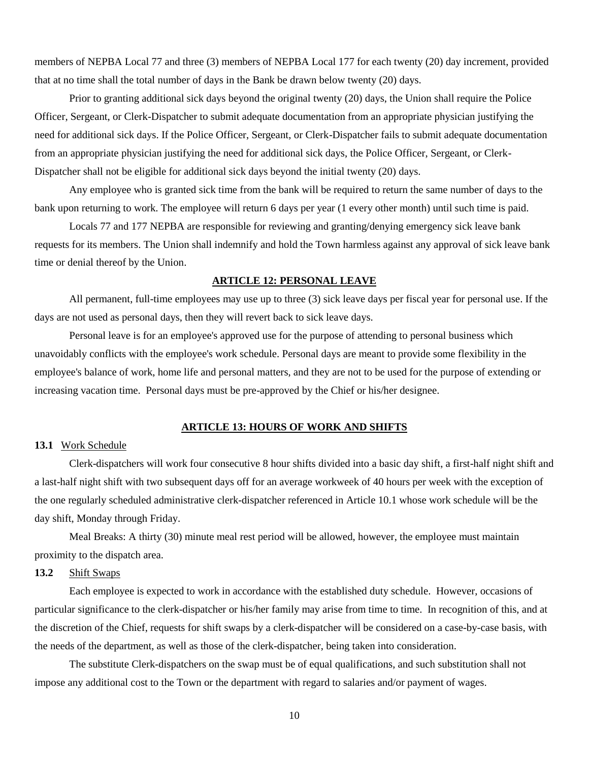members of NEPBA Local 77 and three (3) members of NEPBA Local 177 for each twenty (20) day increment, provided that at no time shall the total number of days in the Bank be drawn below twenty (20) days.

Prior to granting additional sick days beyond the original twenty (20) days, the Union shall require the Police Officer, Sergeant, or Clerk-Dispatcher to submit adequate documentation from an appropriate physician justifying the need for additional sick days. If the Police Officer, Sergeant, or Clerk-Dispatcher fails to submit adequate documentation from an appropriate physician justifying the need for additional sick days, the Police Officer, Sergeant, or Clerk-Dispatcher shall not be eligible for additional sick days beyond the initial twenty (20) days.

Any employee who is granted sick time from the bank will be required to return the same number of days to the bank upon returning to work. The employee will return 6 days per year (1 every other month) until such time is paid.

Locals 77 and 177 NEPBA are responsible for reviewing and granting/denying emergency sick leave bank requests for its members. The Union shall indemnify and hold the Town harmless against any approval of sick leave bank time or denial thereof by the Union.

# **ARTICLE 12: PERSONAL LEAVE**

All permanent, full-time employees may use up to three (3) sick leave days per fiscal year for personal use. If the days are not used as personal days, then they will revert back to sick leave days.

Personal leave is for an employee's approved use for the purpose of attending to personal business which unavoidably conflicts with the employee's work schedule. Personal days are meant to provide some flexibility in the employee's balance of work, home life and personal matters, and they are not to be used for the purpose of extending or increasing vacation time. Personal days must be pre-approved by the Chief or his/her designee.

#### **ARTICLE 13: HOURS OF WORK AND SHIFTS**

# **13.1** Work Schedule

Clerk-dispatchers will work four consecutive 8 hour shifts divided into a basic day shift, a first-half night shift and a last-half night shift with two subsequent days off for an average workweek of 40 hours per week with the exception of the one regularly scheduled administrative clerk-dispatcher referenced in Article 10.1 whose work schedule will be the day shift, Monday through Friday.

Meal Breaks: A thirty (30) minute meal rest period will be allowed, however, the employee must maintain proximity to the dispatch area.

# **13.2** Shift Swaps

Each employee is expected to work in accordance with the established duty schedule. However, occasions of particular significance to the clerk-dispatcher or his/her family may arise from time to time. In recognition of this, and at the discretion of the Chief, requests for shift swaps by a clerk-dispatcher will be considered on a case-by-case basis, with the needs of the department, as well as those of the clerk-dispatcher, being taken into consideration.

The substitute Clerk-dispatchers on the swap must be of equal qualifications, and such substitution shall not impose any additional cost to the Town or the department with regard to salaries and/or payment of wages.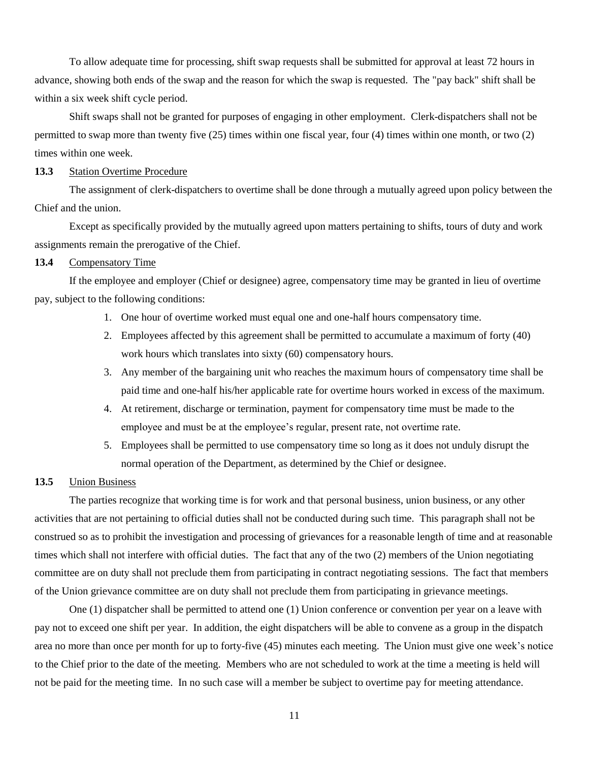To allow adequate time for processing, shift swap requests shall be submitted for approval at least 72 hours in advance, showing both ends of the swap and the reason for which the swap is requested. The "pay back" shift shall be within a six week shift cycle period.

Shift swaps shall not be granted for purposes of engaging in other employment. Clerk-dispatchers shall not be permitted to swap more than twenty five (25) times within one fiscal year, four (4) times within one month, or two (2) times within one week.

# **13.3** Station Overtime Procedure

The assignment of clerk-dispatchers to overtime shall be done through a mutually agreed upon policy between the Chief and the union.

Except as specifically provided by the mutually agreed upon matters pertaining to shifts, tours of duty and work assignments remain the prerogative of the Chief.

### **13.4** Compensatory Time

If the employee and employer (Chief or designee) agree, compensatory time may be granted in lieu of overtime pay, subject to the following conditions:

- 1. One hour of overtime worked must equal one and one-half hours compensatory time.
- 2. Employees affected by this agreement shall be permitted to accumulate a maximum of forty (40) work hours which translates into sixty (60) compensatory hours.
- 3. Any member of the bargaining unit who reaches the maximum hours of compensatory time shall be paid time and one-half his/her applicable rate for overtime hours worked in excess of the maximum.
- 4. At retirement, discharge or termination, payment for compensatory time must be made to the employee and must be at the employee's regular, present rate, not overtime rate.
- 5. Employees shall be permitted to use compensatory time so long as it does not unduly disrupt the normal operation of the Department, as determined by the Chief or designee.

# **13.5** Union Business

The parties recognize that working time is for work and that personal business, union business, or any other activities that are not pertaining to official duties shall not be conducted during such time. This paragraph shall not be construed so as to prohibit the investigation and processing of grievances for a reasonable length of time and at reasonable times which shall not interfere with official duties. The fact that any of the two (2) members of the Union negotiating committee are on duty shall not preclude them from participating in contract negotiating sessions. The fact that members of the Union grievance committee are on duty shall not preclude them from participating in grievance meetings.

One (1) dispatcher shall be permitted to attend one (1) Union conference or convention per year on a leave with pay not to exceed one shift per year. In addition, the eight dispatchers will be able to convene as a group in the dispatch area no more than once per month for up to forty-five (45) minutes each meeting. The Union must give one week's notice to the Chief prior to the date of the meeting. Members who are not scheduled to work at the time a meeting is held will not be paid for the meeting time. In no such case will a member be subject to overtime pay for meeting attendance.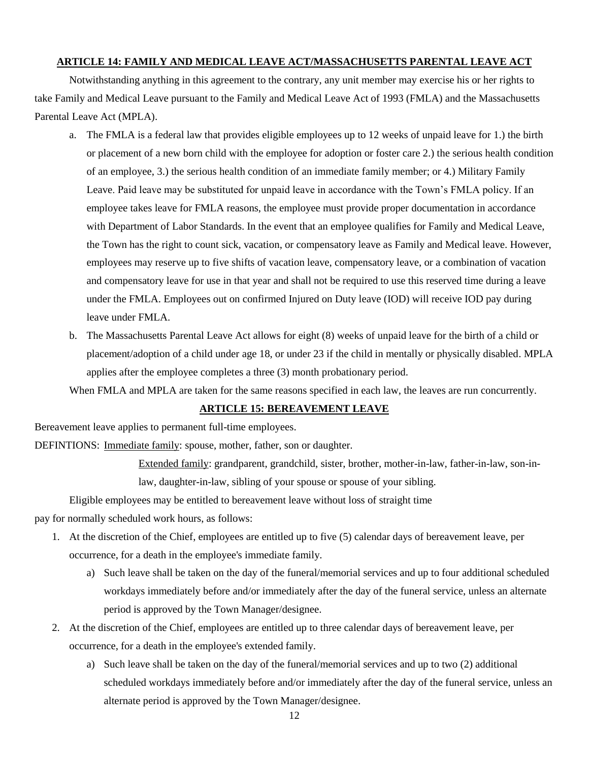### **ARTICLE 14: FAMILY AND MEDICAL LEAVE ACT/MASSACHUSETTS PARENTAL LEAVE ACT**

Notwithstanding anything in this agreement to the contrary, any unit member may exercise his or her rights to take Family and Medical Leave pursuant to the Family and Medical Leave Act of 1993 (FMLA) and the Massachusetts Parental Leave Act (MPLA).

- a. The FMLA is a federal law that provides eligible employees up to 12 weeks of unpaid leave for 1.) the birth or placement of a new born child with the employee for adoption or foster care 2.) the serious health condition of an employee, 3.) the serious health condition of an immediate family member; or 4.) Military Family Leave. Paid leave may be substituted for unpaid leave in accordance with the Town's FMLA policy. If an employee takes leave for FMLA reasons, the employee must provide proper documentation in accordance with Department of Labor Standards. In the event that an employee qualifies for Family and Medical Leave, the Town has the right to count sick, vacation, or compensatory leave as Family and Medical leave. However, employees may reserve up to five shifts of vacation leave, compensatory leave, or a combination of vacation and compensatory leave for use in that year and shall not be required to use this reserved time during a leave under the FMLA. Employees out on confirmed Injured on Duty leave (IOD) will receive IOD pay during leave under FMLA.
- b. The Massachusetts Parental Leave Act allows for eight (8) weeks of unpaid leave for the birth of a child or placement/adoption of a child under age 18, or under 23 if the child in mentally or physically disabled. MPLA applies after the employee completes a three (3) month probationary period.

When FMLA and MPLA are taken for the same reasons specified in each law, the leaves are run concurrently.

# **ARTICLE 15: BEREAVEMENT LEAVE**

Bereavement leave applies to permanent full-time employees.

DEFINTIONS: Immediate family: spouse, mother, father, son or daughter.

Extended family: grandparent, grandchild, sister, brother, mother-in-law, father-in-law, son-inlaw, daughter-in-law, sibling of your spouse or spouse of your sibling.

Eligible employees may be entitled to bereavement leave without loss of straight time

pay for normally scheduled work hours, as follows:

- 1. At the discretion of the Chief, employees are entitled up to five (5) calendar days of bereavement leave, per occurrence, for a death in the employee's immediate family.
	- a) Such leave shall be taken on the day of the funeral/memorial services and up to four additional scheduled workdays immediately before and/or immediately after the day of the funeral service, unless an alternate period is approved by the Town Manager/designee.
- 2. At the discretion of the Chief, employees are entitled up to three calendar days of bereavement leave, per occurrence, for a death in the employee's extended family.
	- a) Such leave shall be taken on the day of the funeral/memorial services and up to two (2) additional scheduled workdays immediately before and/or immediately after the day of the funeral service, unless an alternate period is approved by the Town Manager/designee.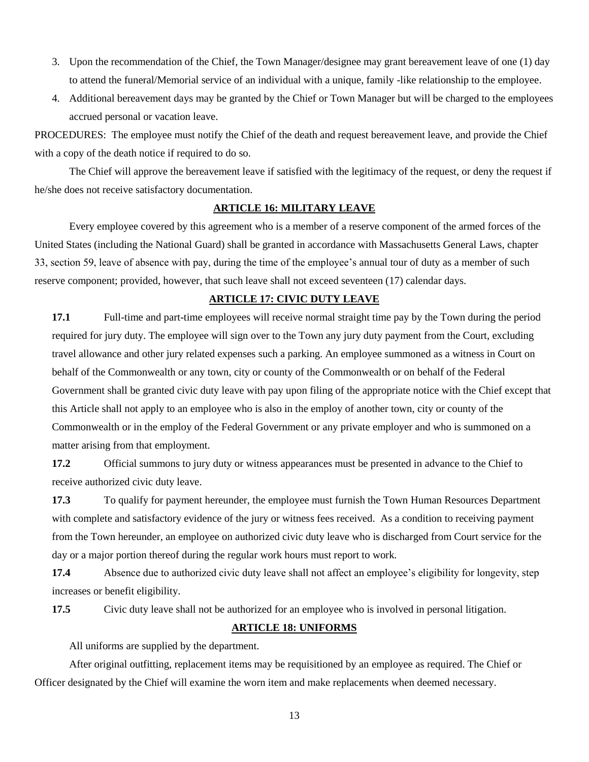- 3. Upon the recommendation of the Chief, the Town Manager/designee may grant bereavement leave of one (1) day to attend the funeral/Memorial service of an individual with a unique, family -like relationship to the employee.
- 4. Additional bereavement days may be granted by the Chief or Town Manager but will be charged to the employees accrued personal or vacation leave.

PROCEDURES: The employee must notify the Chief of the death and request bereavement leave, and provide the Chief with a copy of the death notice if required to do so.

The Chief will approve the bereavement leave if satisfied with the legitimacy of the request, or deny the request if he/she does not receive satisfactory documentation.

# **ARTICLE 16: MILITARY LEAVE**

Every employee covered by this agreement who is a member of a reserve component of the armed forces of the United States (including the National Guard) shall be granted in accordance with Massachusetts General Laws, chapter 33, section 59, leave of absence with pay, during the time of the employee's annual tour of duty as a member of such reserve component; provided, however, that such leave shall not exceed seventeen (17) calendar days.

## **ARTICLE 17: CIVIC DUTY LEAVE**

**17.1** Full-time and part-time employees will receive normal straight time pay by the Town during the period required for jury duty. The employee will sign over to the Town any jury duty payment from the Court, excluding travel allowance and other jury related expenses such a parking. An employee summoned as a witness in Court on behalf of the Commonwealth or any town, city or county of the Commonwealth or on behalf of the Federal Government shall be granted civic duty leave with pay upon filing of the appropriate notice with the Chief except that this Article shall not apply to an employee who is also in the employ of another town, city or county of the Commonwealth or in the employ of the Federal Government or any private employer and who is summoned on a matter arising from that employment.

**17.2** Official summons to jury duty or witness appearances must be presented in advance to the Chief to receive authorized civic duty leave.

**17.3** To qualify for payment hereunder, the employee must furnish the Town Human Resources Department with complete and satisfactory evidence of the jury or witness fees received. As a condition to receiving payment from the Town hereunder, an employee on authorized civic duty leave who is discharged from Court service for the day or a major portion thereof during the regular work hours must report to work.

**17.4** Absence due to authorized civic duty leave shall not affect an employee's eligibility for longevity, step increases or benefit eligibility.

**17.5** Civic duty leave shall not be authorized for an employee who is involved in personal litigation.

#### **ARTICLE 18: UNIFORMS**

All uniforms are supplied by the department.

After original outfitting, replacement items may be requisitioned by an employee as required. The Chief or Officer designated by the Chief will examine the worn item and make replacements when deemed necessary.

13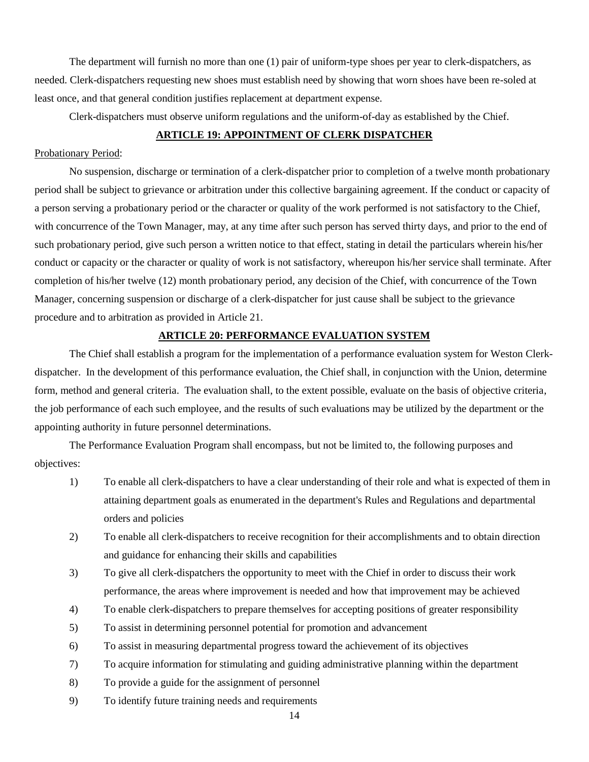The department will furnish no more than one (1) pair of uniform-type shoes per year to clerk-dispatchers, as needed. Clerk-dispatchers requesting new shoes must establish need by showing that worn shoes have been re-soled at least once, and that general condition justifies replacement at department expense.

Clerk-dispatchers must observe uniform regulations and the uniform-of-day as established by the Chief.

# **ARTICLE 19: APPOINTMENT OF CLERK DISPATCHER**

### Probationary Period:

No suspension, discharge or termination of a clerk-dispatcher prior to completion of a twelve month probationary period shall be subject to grievance or arbitration under this collective bargaining agreement. If the conduct or capacity of a person serving a probationary period or the character or quality of the work performed is not satisfactory to the Chief, with concurrence of the Town Manager, may, at any time after such person has served thirty days, and prior to the end of such probationary period, give such person a written notice to that effect, stating in detail the particulars wherein his/her conduct or capacity or the character or quality of work is not satisfactory, whereupon his/her service shall terminate. After completion of his/her twelve (12) month probationary period, any decision of the Chief, with concurrence of the Town Manager, concerning suspension or discharge of a clerk-dispatcher for just cause shall be subject to the grievance procedure and to arbitration as provided in Article 21.

### **ARTICLE 20: PERFORMANCE EVALUATION SYSTEM**

The Chief shall establish a program for the implementation of a performance evaluation system for Weston Clerkdispatcher. In the development of this performance evaluation, the Chief shall, in conjunction with the Union, determine form, method and general criteria. The evaluation shall, to the extent possible, evaluate on the basis of objective criteria, the job performance of each such employee, and the results of such evaluations may be utilized by the department or the appointing authority in future personnel determinations.

The Performance Evaluation Program shall encompass, but not be limited to, the following purposes and objectives:

- 1) To enable all clerk-dispatchers to have a clear understanding of their role and what is expected of them in attaining department goals as enumerated in the department's Rules and Regulations and departmental orders and policies
- 2) To enable all clerk-dispatchers to receive recognition for their accomplishments and to obtain direction and guidance for enhancing their skills and capabilities
- 3) To give all clerk-dispatchers the opportunity to meet with the Chief in order to discuss their work performance, the areas where improvement is needed and how that improvement may be achieved
- 4) To enable clerk-dispatchers to prepare themselves for accepting positions of greater responsibility
- 5) To assist in determining personnel potential for promotion and advancement
- 6) To assist in measuring departmental progress toward the achievement of its objectives
- 7) To acquire information for stimulating and guiding administrative planning within the department
- 8) To provide a guide for the assignment of personnel
- 9) To identify future training needs and requirements

14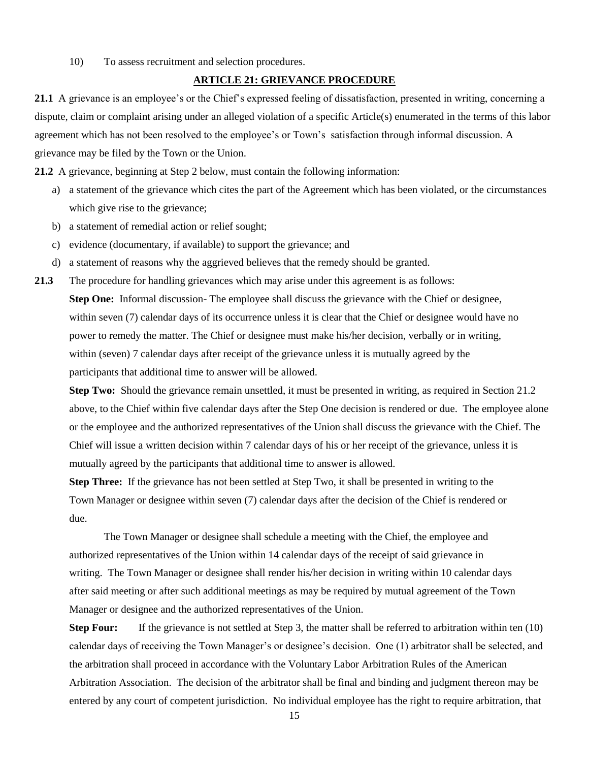10) To assess recruitment and selection procedures.

## **ARTICLE 21: GRIEVANCE PROCEDURE**

**21.1** A grievance is an employee's or the Chief's expressed feeling of dissatisfaction, presented in writing, concerning a dispute, claim or complaint arising under an alleged violation of a specific Article(s) enumerated in the terms of this labor agreement which has not been resolved to the employee's or Town's satisfaction through informal discussion. A grievance may be filed by the Town or the Union.

**21.2** A grievance, beginning at Step 2 below, must contain the following information:

- a) a statement of the grievance which cites the part of the Agreement which has been violated, or the circumstances which give rise to the grievance;
- b) a statement of remedial action or relief sought;
- c) evidence (documentary, if available) to support the grievance; and
- d) a statement of reasons why the aggrieved believes that the remedy should be granted.
- **21.3** The procedure for handling grievances which may arise under this agreement is as follows: **Step One:** Informal discussion- The employee shall discuss the grievance with the Chief or designee, within seven (7) calendar days of its occurrence unless it is clear that the Chief or designee would have no power to remedy the matter. The Chief or designee must make his/her decision, verbally or in writing, within (seven) 7 calendar days after receipt of the grievance unless it is mutually agreed by the participants that additional time to answer will be allowed.

**Step Two:** Should the grievance remain unsettled, it must be presented in writing, as required in Section 21.2 above, to the Chief within five calendar days after the Step One decision is rendered or due. The employee alone or the employee and the authorized representatives of the Union shall discuss the grievance with the Chief. The Chief will issue a written decision within 7 calendar days of his or her receipt of the grievance, unless it is mutually agreed by the participants that additional time to answer is allowed.

**Step Three:** If the grievance has not been settled at Step Two, it shall be presented in writing to the Town Manager or designee within seven (7) calendar days after the decision of the Chief is rendered or due.

The Town Manager or designee shall schedule a meeting with the Chief, the employee and authorized representatives of the Union within 14 calendar days of the receipt of said grievance in writing. The Town Manager or designee shall render his/her decision in writing within 10 calendar days after said meeting or after such additional meetings as may be required by mutual agreement of the Town Manager or designee and the authorized representatives of the Union.

**Step Four:** If the grievance is not settled at Step 3, the matter shall be referred to arbitration within ten (10) calendar days of receiving the Town Manager's or designee's decision. One (1) arbitrator shall be selected, and the arbitration shall proceed in accordance with the Voluntary Labor Arbitration Rules of the American Arbitration Association. The decision of the arbitrator shall be final and binding and judgment thereon may be entered by any court of competent jurisdiction. No individual employee has the right to require arbitration, that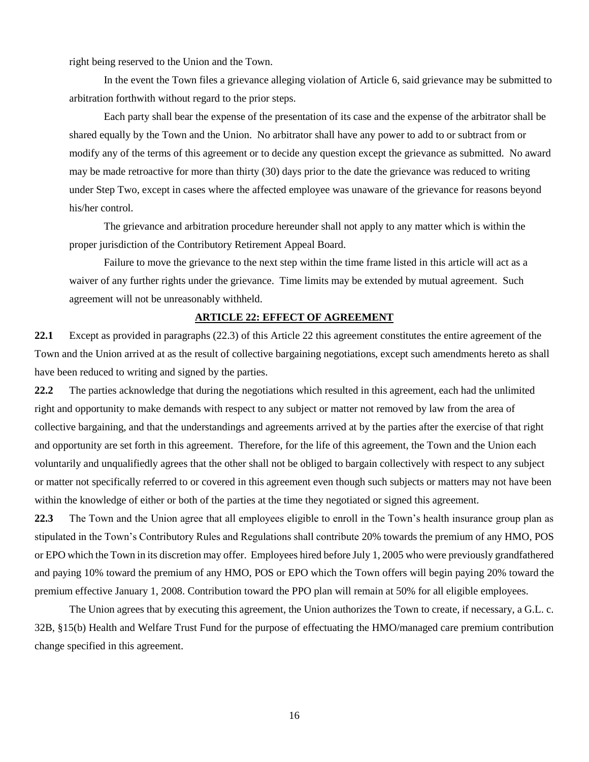right being reserved to the Union and the Town.

In the event the Town files a grievance alleging violation of Article 6, said grievance may be submitted to arbitration forthwith without regard to the prior steps.

Each party shall bear the expense of the presentation of its case and the expense of the arbitrator shall be shared equally by the Town and the Union. No arbitrator shall have any power to add to or subtract from or modify any of the terms of this agreement or to decide any question except the grievance as submitted. No award may be made retroactive for more than thirty (30) days prior to the date the grievance was reduced to writing under Step Two, except in cases where the affected employee was unaware of the grievance for reasons beyond his/her control.

The grievance and arbitration procedure hereunder shall not apply to any matter which is within the proper jurisdiction of the Contributory Retirement Appeal Board.

Failure to move the grievance to the next step within the time frame listed in this article will act as a waiver of any further rights under the grievance. Time limits may be extended by mutual agreement. Such agreement will not be unreasonably withheld.

# **ARTICLE 22: EFFECT OF AGREEMENT**

**22.1** Except as provided in paragraphs (22.3) of this Article 22 this agreement constitutes the entire agreement of the Town and the Union arrived at as the result of collective bargaining negotiations, except such amendments hereto as shall have been reduced to writing and signed by the parties.

**22.2** The parties acknowledge that during the negotiations which resulted in this agreement, each had the unlimited right and opportunity to make demands with respect to any subject or matter not removed by law from the area of collective bargaining, and that the understandings and agreements arrived at by the parties after the exercise of that right and opportunity are set forth in this agreement. Therefore, for the life of this agreement, the Town and the Union each voluntarily and unqualifiedly agrees that the other shall not be obliged to bargain collectively with respect to any subject or matter not specifically referred to or covered in this agreement even though such subjects or matters may not have been within the knowledge of either or both of the parties at the time they negotiated or signed this agreement.

**22.3** The Town and the Union agree that all employees eligible to enroll in the Town's health insurance group plan as stipulated in the Town's Contributory Rules and Regulations shall contribute 20% towards the premium of any HMO, POS or EPO which the Town in its discretion may offer. Employees hired before July 1, 2005 who were previously grandfathered and paying 10% toward the premium of any HMO, POS or EPO which the Town offers will begin paying 20% toward the premium effective January 1, 2008. Contribution toward the PPO plan will remain at 50% for all eligible employees.

The Union agrees that by executing this agreement, the Union authorizes the Town to create, if necessary, a G.L. c. 32B, §15(b) Health and Welfare Trust Fund for the purpose of effectuating the HMO/managed care premium contribution change specified in this agreement.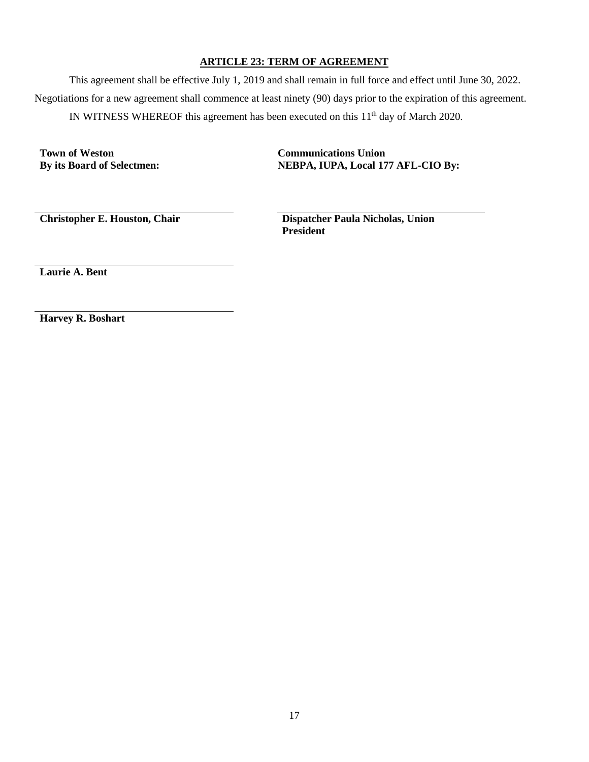# **ARTICLE 23: TERM OF AGREEMENT**

This agreement shall be effective July 1, 2019 and shall remain in full force and effect until June 30, 2022. Negotiations for a new agreement shall commence at least ninety (90) days prior to the expiration of this agreement. IN WITNESS WHEREOF this agreement has been executed on this  $11<sup>th</sup>$  day of March 2020.

**Town of Weston Communications Union**

**By its Board of Selectmen: NEBPA, IUPA, Local 177 AFL-CIO By:**

**Christopher E. Houston, Chair Dispatcher Paula Nicholas, Union President**

**Laurie A. Bent**

**Harvey R. Boshart**